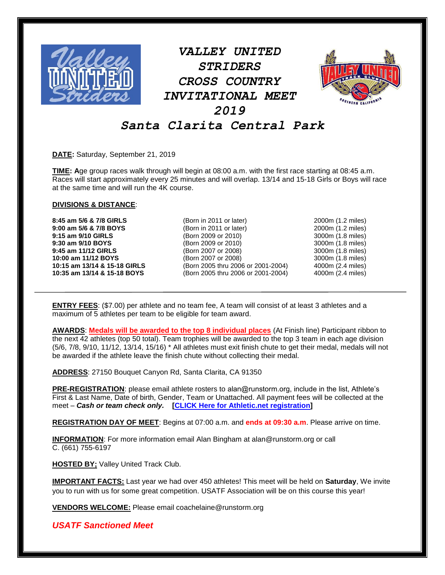

*VALLEY UNITED STRIDERS CROSS COUNTRY INVITATIONAL MEET 2019*



## *Santa Clarita Central Park*

**DATE:** Saturday, September 21, 2019

**TIME: A**ge group races walk through will begin at 08:00 a.m. with the first race starting at 08:45 a.m. Races will start approximately every 25 minutes and will overlap. 13/14 and 15-18 Girls or Boys will race at the same time and will run the 4K course.

## **DIVISIONS & DISTANCE**:

**8:45 am 5/6 & 7/8 GIRLS** (Born in 2011 or later) 2000m (1.2 miles)

**9:00 am 5/6 & 7/8 BOYS** (Born in 2011 or later) 2000m (1.2 miles) **9:15 am 9/10 GIRLS** (Born 2009 or 2010) 3000m (1.8 miles) **9:30 am 9/10 BOYS** (Born 2009 or 2010) 3000m (1.8 miles) **9:45 am 11/12 GIRLS** (Born 2007 or 2008) 3000m (1.8 miles) **10:00 am 11/12 BOYS** (Born 2007 or 2008) 3000m (1.8 miles) **10:15 am 13/14 & 15-18 GIRLS** (Born 2005 thru 2006 or 2001-2004) 4000m (2.4 miles) **10:35 am 13/14 & 15-18 BOYS** (Born 2005 thru 2006 or 2001-2004) 4000m (2.4 miles)

**ENTRY FEES**: (\$7.00) per athlete and no team fee, A team will consist of at least 3 athletes and a maximum of 5 athletes per team to be eligible for team award.

**AWARDS**: **Medals will be awarded to the top 8 individual places** (At Finish line) Participant ribbon to the next 42 athletes (top 50 total). Team trophies will be awarded to the top 3 team in each age division (5/6, 7/8, 9/10, 11/12, 13/14, 15/16) \* All athletes must exit finish chute to get their medal, medals will not be awarded if the athlete leave the finish chute without collecting their medal.

**ADDRESS**: 27150 Bouquet Canyon Rd, Santa Clarita, CA 91350

**PRE-REGISTRATION**: please email athlete rosters to alan@runstorm.org, include in the list, Athlete's First & Last Name, Date of birth, Gender, Team or Unattached. All payment fees will be collected at the meet – *Cash or team check only.* **[CLICK Here for Athletic.net registration]**

**REGISTRATION DAY OF MEET**: Begins at 07:00 a.m. and **ends at 09:30 a.m**. Please arrive on time.

**INFORMATION**: For more information email Alan Bingham at alan@runstorm.org or call C. (661) 755-6197

**HOSTED BY;** Valley United Track Club.

**IMPORTANT FACTS:** Last year we had over 450 athletes! This meet will be held on **Saturday**, We invite you to run with us for some great competition. USATF Association will be on this course this year!

**VENDORS WELCOME:** Please email coachelaine@runstorm.org

*USATF Sanctioned Meet*